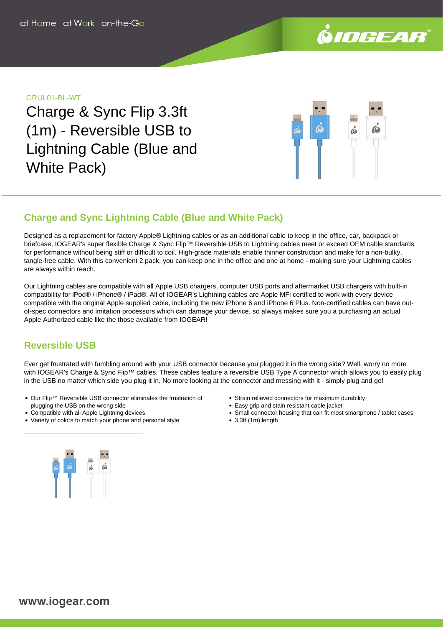

## GRUL01-BL-WT

Charge & Sync Flip 3.3ft (1m) - Reversible USB to Lightning Cable (Blue and White Pack)



## **Charge and Sync Lightning Cable (Blue and White Pack)**

Designed as a replacement for factory Apple® Lightning cables or as an additional cable to keep in the office, car, backpack or briefcase, IOGEAR's super flexible Charge & Sync Flip™ Reversible USB to Lightning cables meet or exceed OEM cable standards for performance without being stiff or difficult to coil. High-grade materials enable thinner construction and make for a non-bulky, tangle-free cable. With this convenient 2 pack, you can keep one in the office and one at home - making sure your Lightning cables are always within reach.

Our Lightning cables are compatible with all Apple USB chargers, computer USB ports and aftermarket USB chargers with built-in compatibility for iPod® / iPhone® / iPad®. All of IOGEAR's Lightning cables are Apple MFi certified to work with every device compatible with the original Apple supplied cable, including the new iPhone 6 and iPhone 6 Plus. Non-certified cables can have outof-spec connectors and imitation processors which can damage your device, so always makes sure you a purchasing an actual Apple Authorized cable like the those available from IOGEAR!

## **Reversible USB**

Ever get frustrated with fumbling around with your USB connector because you plugged it in the wrong side? Well, worry no more with IOGEAR's Charge & Sync Flip™ cables. These cables feature a reversible USB Type A connector which allows you to easily plug in the USB no matter which side you plug it in. No more looking at the connector and messing with it - simply plug and go!

- Our Flip™ Reversible USB connector eliminates the frustration of plugging the USB on the wrong side
- Compatible with all Apple Lightning devices
- Variety of colors to match your phone and personal style
- Strain relieved connectors for maximum durability
- Easy grip and stain resistant cable jacket
- Small connector housing that can fit most smartphone / tablet cases
- 3.3ft (1m) length